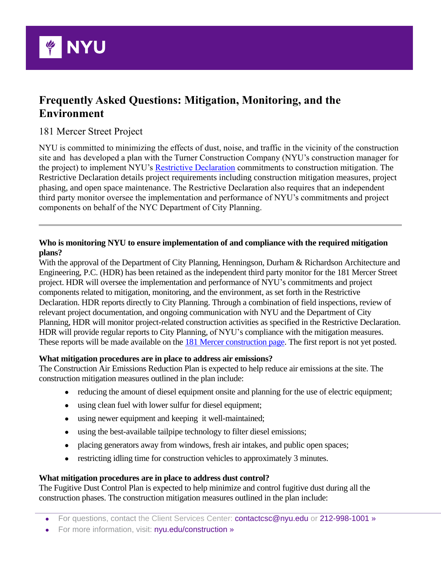

# **Frequently Asked Questions: Mitigation, Monitoring, and the Environment**

# 181 Mercer Street Project

NYU is committed to minimizing the effects of dust, noise, and traffic in the vicinity of the construction site and has developed a plan with the Turner Construction Company (NYU's construction manager for the project) to implement NYU's [Restrictive Declaration](http://www.nyu.edu/content/dam/nyu/govCommunAffairs/documents/nyu-in-nyc/core-plan-commitments/2012-7-24-NYU-Core-Restrictive-Declaration-FINAL.pdf) commitments to construction mitigation. The Restrictive Declaration details project requirements including construction mitigation measures, project phasing, and open space maintenance. The Restrictive Declaration also requires that an independent third party monitor oversee the implementation and performance of NYU's commitments and project components on behalf of the NYC Department of City Planning.

# **Who is monitoring NYU to ensure implementation of and compliance with the required mitigation plans?**

With the approval of the Department of City Planning, Henningson, Durham & Richardson Architecture and Engineering, P.C. (HDR) has been retained as the independent third party monitor for the 181 Mercer Street project. HDR will oversee the implementation and performance of NYU's commitments and project components related to mitigation, monitoring, and the environment, as set forth in the Restrictive Declaration. HDR reports directly to City Planning. Through a combination of field inspections, review of relevant project documentation, and ongoing communication with NYU and the Department of City Planning, HDR will monitor project-related construction activities as specified in the Restrictive Declaration. HDR will provide regular reports to City Planning, of NYU's compliance with the mitigation measures. These reports will be made available on the [181 Mercer construction page.](https://www.nyu.edu/community/nyu-in-nyc/construction/current-projects/181-Mercer-Street.html) The first report is not yet posted.

# **What mitigation procedures are in place to address air emissions?**

The Construction Air Emissions Reduction Plan is expected to help reduce air emissions at the site. The construction mitigation measures outlined in the plan include:

- reducing the amount of diesel equipment onsite and planning for the use of electric equipment;
- using clean fuel with lower sulfur for diesel equipment;
- using newer equipment and keeping it well-maintained;
- using the best-available tailpipe technology to filter diesel emissions;
- placing generators away from windows, fresh air intakes, and public open spaces;
- restricting idling time for construction vehicles to approximately 3 minutes.

#### **What mitigation procedures are in place to address dust control?**

The Fugitive Dust Control Plan is expected to help minimize and control fugitive dust during all the construction phases. The construction mitigation measures outlined in the plan include:

- For questions, contact the Client Services Center: contactcsc@nyu.edu or 212-998-1001 »
- For more information, visit: nyu.edu/construction »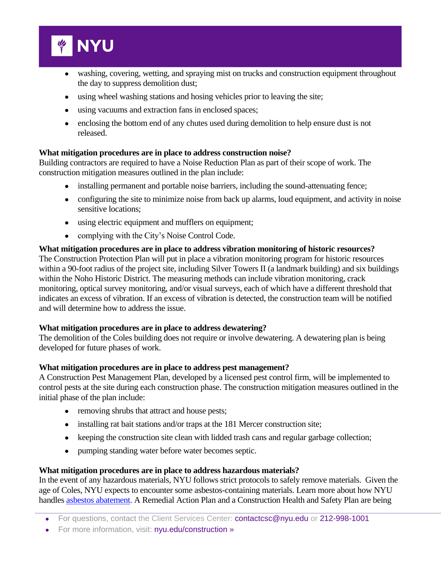

- washing, covering, wetting, and spraying mist on trucks and construction equipment throughout the day to suppress demolition dust;
- using wheel washing stations and hosing vehicles prior to leaving the site;
- using vacuums and extraction fans in enclosed spaces;
- enclosing the bottom end of any chutes used during demolition to help ensure dust is not released.

## **What mitigation procedures are in place to address construction noise?**

Building contractors are required to have a Noise Reduction Plan as part of their scope of work. The construction mitigation measures outlined in the plan include:

- installing permanent and portable noise barriers, including the sound-attenuating fence;
- configuring the site to minimize noise from back up alarms, loud equipment, and activity in noise sensitive locations;
- using electric equipment and mufflers on equipment;
- complying with the City's Noise Control Code.

#### **What mitigation procedures are in place to address vibration monitoring of historic resources?** The Construction Protection Plan will put in place a vibration monitoring program for historic resources within a 90-foot radius of the project site, including Silver Towers II (a landmark building) and six buildings within the Noho Historic District. The measuring methods can include vibration monitoring, crack monitoring, optical survey monitoring, and/or visual surveys, each of which have a different threshold that indicates an excess of vibration. If an excess of vibration is detected, the construction team will be notified and will determine how to address the issue.

#### **What mitigation procedures are in place to address dewatering?**

The demolition of the Coles building does not require or involve dewatering. A dewatering plan is being developed for future phases of work.

#### **What mitigation procedures are in place to address pest management?**

A Construction Pest Management Plan, developed by a licensed pest control firm, will be implemented to control pests at the site during each construction phase. The construction mitigation measures outlined in the initial phase of the plan include:

- removing shrubs that attract and house pests;
- installing rat bait stations and/or traps at the 181 Mercer construction site;
- keeping the construction site clean with lidded trash cans and regular garbage collection;
- pumping standing water before water becomes septic.

#### **What mitigation procedures are in place to address hazardous materials?**

In the event of any hazardous materials, NYU follows strict protocols to safely remove materials. Given the age of Coles, NYU expects to encounter some asbestos-containing materials. Learn more about how NYU handles [asbestos abatement.](http://www.nyu.edu/community/nyu-in-nyc/construction/frequently-asked-questions.html) A Remedial Action Plan and a Construction Health and Safety Plan are being

- For questions, contact the Client Services Center: contactcsc@nyu.edu or 212-998-1001
- For more information, visit: nyu.edu/construction »